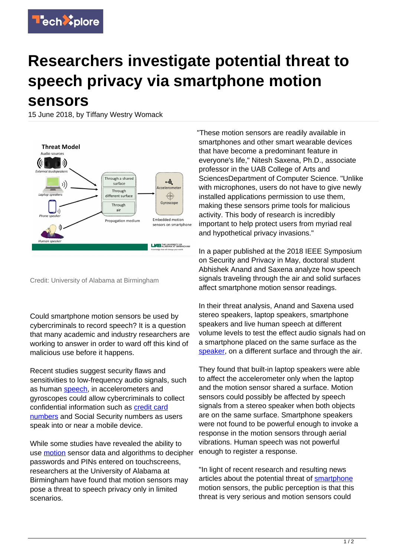

## **Researchers investigate potential threat to speech privacy via smartphone motion sensors**

15 June 2018, by Tiffany Westry Womack



Credit: University of Alabama at Birmingham

Could smartphone motion sensors be used by cybercriminals to record speech? It is a question that many academic and industry researchers are working to answer in order to ward off this kind of malicious use before it happens.

Recent studies suggest security flaws and sensitivities to low-frequency audio signals, such as human [speech](https://techxplore.com/tags/speech/), in accelerometers and gyroscopes could allow cybercriminals to collect confidential information such as [credit card](https://techxplore.com/tags/credit+card+numbers/) [numbers](https://techxplore.com/tags/credit+card+numbers/) and Social Security numbers as users speak into or near a mobile device.

While some studies have revealed the ability to use [motion](https://techxplore.com/tags/motion/) sensor data and algorithms to decipher passwords and PINs entered on touchscreens, researchers at the University of Alabama at Birmingham have found that motion sensors may pose a threat to speech privacy only in limited scenarios.

"These motion sensors are readily available in smartphones and other smart wearable devices that have become a predominant feature in everyone's life," Nitesh Saxena, Ph.D., associate professor in the UAB College of Arts and SciencesDepartment of Computer Science. "Unlike with microphones, users do not have to give newly installed applications permission to use them, making these sensors prime tools for malicious activity. This body of research is incredibly important to help protect users from myriad real and hypothetical privacy invasions."

In a paper published at the 2018 IEEE Symposium on Security and Privacy in May, doctoral student Abhishek Anand and Saxena analyze how speech signals traveling through the air and solid surfaces affect smartphone motion sensor readings.

In their threat analysis, Anand and Saxena used stereo speakers, laptop speakers, smartphone speakers and live human speech at different volume levels to test the effect audio signals had on a smartphone placed on the same surface as the [speaker,](https://techxplore.com/tags/speaker/) on a different surface and through the air.

They found that built-in laptop speakers were able to affect the accelerometer only when the laptop and the motion sensor shared a surface. Motion sensors could possibly be affected by speech signals from a stereo speaker when both objects are on the same surface. Smartphone speakers were not found to be powerful enough to invoke a response in the motion sensors through aerial vibrations. Human speech was not powerful enough to register a response.

"In light of recent research and resulting news articles about the potential threat of [smartphone](https://techxplore.com/tags/smartphone/) motion sensors, the public perception is that this threat is very serious and motion sensors could